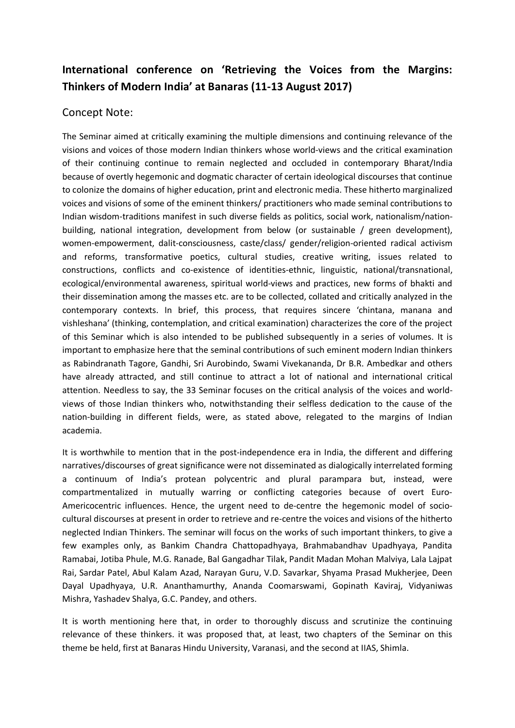## **International conference on 'Retrieving the Voices from the Margins: Thinkers of Modern India' at Banaras (11-13 August 2017)**

## Concept Note:

The Seminar aimed at critically examining the multiple dimensions and continuing relevance of the visions and voices of those modern Indian thinkers whose world-views and the critical examination of their continuing continue to remain neglected and occluded in contemporary Bharat/India because of overtly hegemonic and dogmatic character of certain ideological discourses that continue to colonize the domains of higher education, print and electronic media. These hitherto marginalized voices and visions of some of the eminent thinkers/ practitioners who made seminal contributions to Indian wisdom-traditions manifest in such diverse fields as politics, social work, nationalism/nationbuilding, national integration, development from below (or sustainable / green development), women-empowerment, dalit-consciousness, caste/class/ gender/religion-oriented radical activism and reforms, transformative poetics, cultural studies, creative writing, issues related to constructions, conflicts and co-existence of identities-ethnic, linguistic, national/transnational, ecological/environmental awareness, spiritual world-views and practices, new forms of bhakti and their dissemination among the masses etc. are to be collected, collated and critically analyzed in the contemporary contexts. In brief, this process, that requires sincere 'chintana, manana and vishleshana' (thinking, contemplation, and critical examination) characterizes the core of the project of this Seminar which is also intended to be published subsequently in a series of volumes. It is important to emphasize here that the seminal contributions of such eminent modern Indian thinkers as Rabindranath Tagore, Gandhi, Sri Aurobindo, Swami Vivekananda, Dr B.R. Ambedkar and others have already attracted, and still continue to attract a lot of national and international critical attention. Needless to say, the 33 Seminar focuses on the critical analysis of the voices and worldviews of those Indian thinkers who, notwithstanding their selfless dedication to the cause of the nation-building in different fields, were, as stated above, relegated to the margins of Indian academia.

It is worthwhile to mention that in the post-independence era in India, the different and differing narratives/discourses of great significance were not disseminated as dialogically interrelated forming a continuum of India's protean polycentric and plural parampara but, instead, were compartmentalized in mutually warring or conflicting categories because of overt Euro-Americocentric influences. Hence, the urgent need to de-centre the hegemonic model of sociocultural discourses at present in order to retrieve and re-centre the voices and visions of the hitherto neglected Indian Thinkers. The seminar will focus on the works of such important thinkers, to give a few examples only, as Bankim Chandra Chattopadhyaya, Brahmabandhav Upadhyaya, Pandita Ramabai, Jotiba Phule, M.G. Ranade, Bal Gangadhar Tilak, Pandit Madan Mohan Malviya, Lala Lajpat Rai, Sardar Patel, Abul Kalam Azad, Narayan Guru, V.D. Savarkar, Shyama Prasad Mukherjee, Deen Dayal Upadhyaya, U.R. Ananthamurthy, Ananda Coomarswami, Gopinath Kaviraj, Vidyaniwas Mishra, Yashadev Shalya, G.C. Pandey, and others.

It is worth mentioning here that, in order to thoroughly discuss and scrutinize the continuing relevance of these thinkers. it was proposed that, at least, two chapters of the Seminar on this theme be held, first at Banaras Hindu University, Varanasi, and the second at IIAS, Shimla.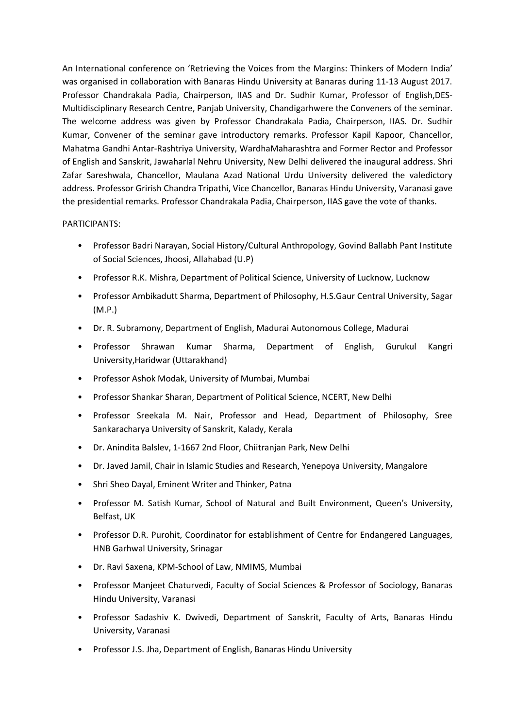An International conference on 'Retrieving the Voices from the Margins: Thinkers of Modern India' was organised in collaboration with Banaras Hindu University at Banaras during 11-13 August 2017. Professor Chandrakala Padia, Chairperson, IIAS and Dr. Sudhir Kumar, Professor of English,DES-Multidisciplinary Research Centre, Panjab University, Chandigarhwere the Conveners of the seminar. The welcome address was given by Professor Chandrakala Padia, Chairperson, IIAS. Dr. Sudhir Kumar, Convener of the seminar gave introductory remarks. Professor Kapil Kapoor, Chancellor, Mahatma Gandhi Antar-Rashtriya University, WardhaMaharashtra and Former Rector and Professor of English and Sanskrit, Jawaharlal Nehru University, New Delhi delivered the inaugural address. Shri Zafar Sareshwala, Chancellor, Maulana Azad National Urdu University delivered the valedictory address. Professor Grirish Chandra Tripathi, Vice Chancellor, Banaras Hindu University, Varanasi gave the presidential remarks. Professor Chandrakala Padia, Chairperson, IIAS gave the vote of thanks.

## PARTICIPANTS:

- Professor Badri Narayan, Social History/Cultural Anthropology, Govind Ballabh Pant Institute of Social Sciences, Jhoosi, Allahabad (U.P)
- Professor R.K. Mishra, Department of Political Science, University of Lucknow, Lucknow
- Professor Ambikadutt Sharma, Department of Philosophy, H.S.Gaur Central University, Sagar (M.P.)
- Dr. R. Subramony, Department of English, Madurai Autonomous College, Madurai
- Professor Shrawan Kumar Sharma, Department of English, Gurukul Kangri University,Haridwar (Uttarakhand)
- Professor Ashok Modak, University of Mumbai, Mumbai
- Professor Shankar Sharan, Department of Political Science, NCERT, New Delhi
- Professor Sreekala M. Nair, Professor and Head, Department of Philosophy, Sree Sankaracharya University of Sanskrit, Kalady, Kerala
- Dr. Anindita Balslev, 1-1667 2nd Floor, Chiitranjan Park, New Delhi
- Dr. Javed Jamil, Chair in Islamic Studies and Research, Yenepoya University, Mangalore
- Shri Sheo Dayal, Eminent Writer and Thinker, Patna
- Professor M. Satish Kumar, School of Natural and Built Environment, Queen's University, Belfast, UK
- Professor D.R. Purohit, Coordinator for establishment of Centre for Endangered Languages, HNB Garhwal University, Srinagar
- Dr. Ravi Saxena, KPM-School of Law, NMIMS, Mumbai
- Professor Manjeet Chaturvedi, Faculty of Social Sciences & Professor of Sociology, Banaras Hindu University, Varanasi
- Professor Sadashiv K. Dwivedi, Department of Sanskrit, Faculty of Arts, Banaras Hindu University, Varanasi
- Professor J.S. Jha, Department of English, Banaras Hindu University